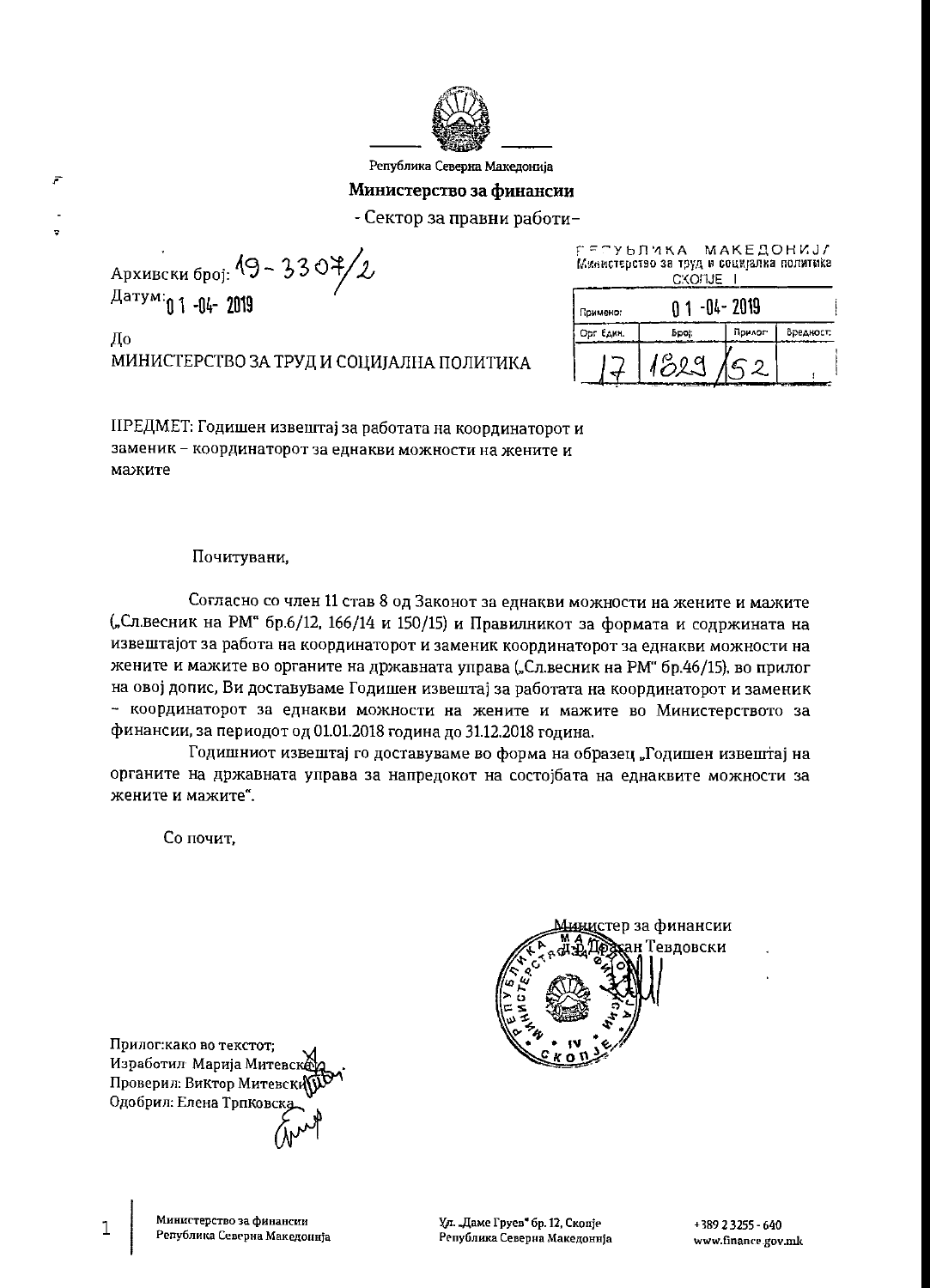

Република Северна Македонија

#### Министерство за финансии

- Сектор за правни работи-

Архивски број: 19 - 3307/2 Датум: 01-04-2019

F

До МИНИСТЕРСТВО ЗА ТРУД И СОЦИЈАЛНА ПОЛИТИКА ГЕСУЫЛИКА МАКЕДОНИЈА Министерство за труд и социјалка политика C:KOFUE I

| Примено-  | -04- 2019 |        |                          |
|-----------|-----------|--------|--------------------------|
| Opr EARM. | Bpoj:     | Прилог | Вредност:                |
|           |           |        | <b>PERSONAL PROPERTY</b> |

ПРЕДМЕТ: Годишен извештај за работата на координаторот и заменик - координаторот за еднакви можности на жените и мажите

#### Почитувани,

Согласно со член 11 став 8 од Законот за еднакви можности на жените и мажите ("Сл.весник на РМ" бр.6/12, 166/14 и 150/15) и Правилникот за формата и содржината на извештајот за работа на координаторот и заменик координаторот за еднакви можности на жените и мажите во органите на државната управа ("Сл.весник на РМ" бр.46/15), во прилог на овој допис, Ви доставуваме Годишен извештај за работата на координаторот и заменик - координаторот за еднакви можности на жените и мажите во Министерството за финансии, за периодот од 01.01.2018 година до 31.12.2018 година.

Годишниот извештај го доставуваме во форма на образец "Годишен извештај на органите на државната управа за напредокот на состојбата на еднаквите можности за жените и мажите".

Со почит.

<u>ини</u>стер за финансии ан Тевдовски

Прилог: како во текстот; Изработил Марија Митевск Проверил: Виктор Митевски Одобрил: Елена Трпковс

1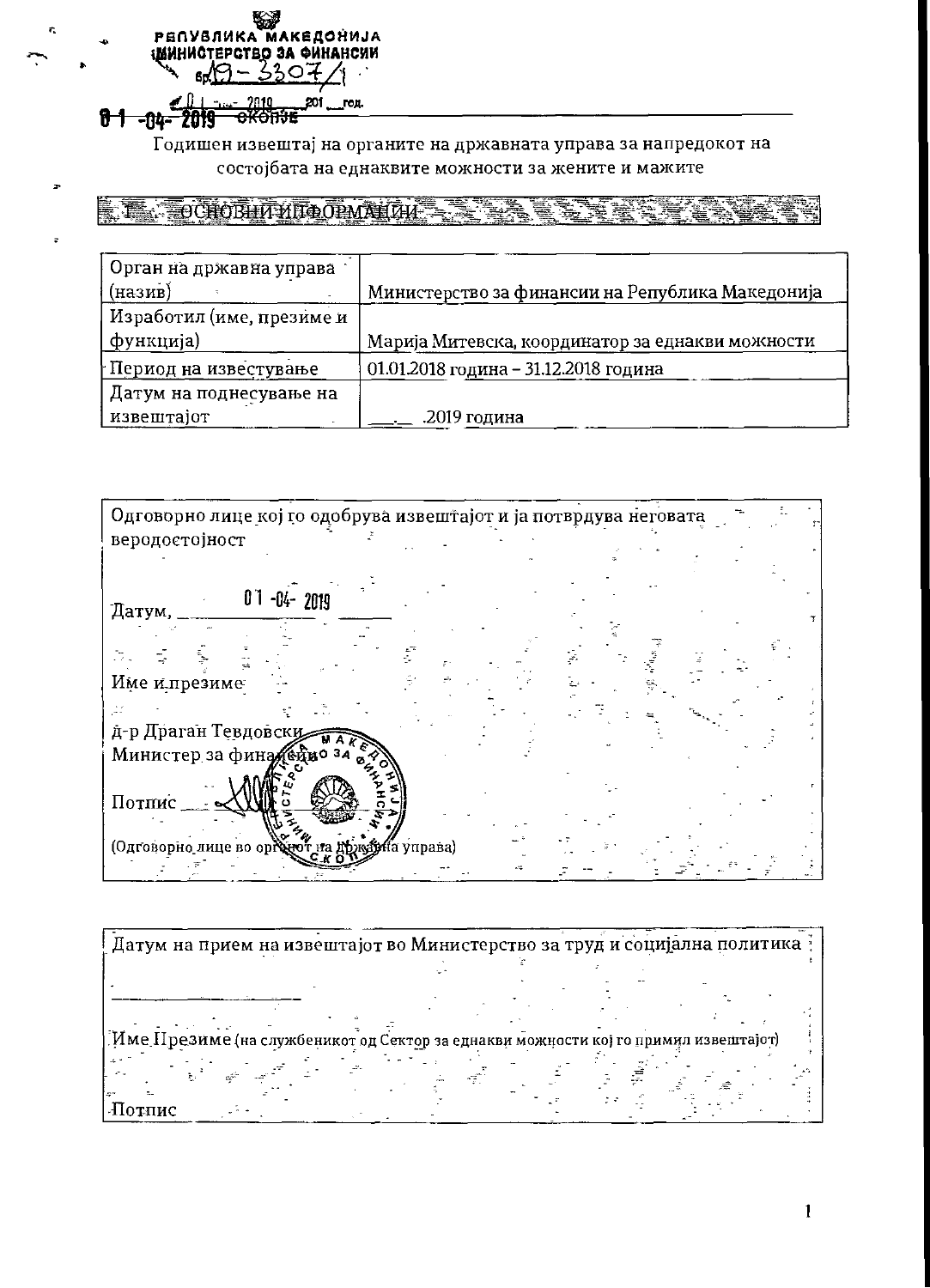

Годишен извештај на органите на државната управа за напредокот на состојбата на еднаквите можности за жените и мажите

TAN TEOCHORHITATIOOPMAHTHE

| Орган на државна управа   |                                                  |
|---------------------------|--------------------------------------------------|
| (назив)                   | Министерство за финансии на Република Македонија |
| Изработил (име, презиме и |                                                  |
| функција)                 | Марија Митевска, координатор за еднакви можности |
| † Период на известување   | 01.01.2018 година - 31.12.2018 година            |
| Датум на поднесување на   |                                                  |
| извештајот                | .2019 година                                     |

Одговорно лице кој го одобрува извештајот и ја потврдува неговата веродостојност  $01 - 04 - 2019$ Датум, Л.,  $\vec{z}$ Име и презиме  $\mathcal{L}^{\vee}$ д-р Драган Тевдовски កា Министер за фина (ецио за Потпис (Одговорно лице во орі і́а ўправа)  $\mathbb{R}$ 

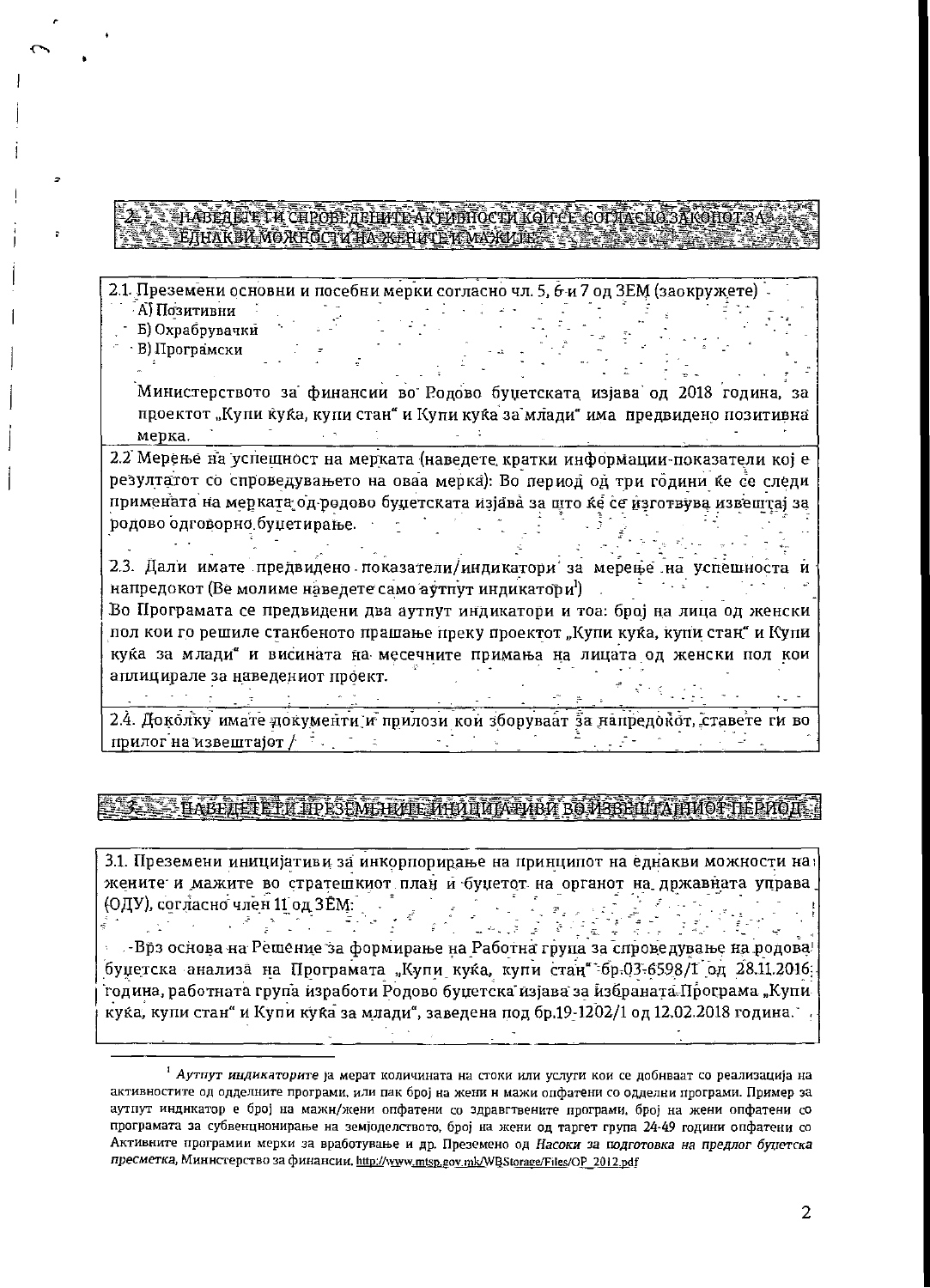#### SLOCACITA CHROSE TELLETE AKTIVITIOCTM KOMEL COTTA CHO SANOHO EIHAKBA MOXHOCTV TA KEHATE TA VAXVIE S

2.1. Преземени основни и посебни мерки согласно чл. 5, 6-и 7 од ЗЕМ (заокружете) А) Позитивни . . . 7

- Б) Охрабрувачки
- В) Програмски

Министерството за финансии во Родово буџетската изјава од 2018 година, за проектот "Купи куќа, купи стан" и Купи куќа за млади" има предвидено позитивна  $\text{Mep}$ ка.  $\frac{1}{2}$  ,  $\frac{1}{2}$  ,  $\frac{1}{2}$  ,  $\frac{1}{2}$  ,  $\frac{1}{2}$  ,  $\frac{1}{2}$  ,  $\frac{1}{2}$ 

2.2 Мерење на успешност на мерката (наведете кратки информации-показатели кој е резултатот со спроведувањето на оваа мерка). Во период од три години ќе се следи примената на мерката од родово буџетската изјава за што ќе се изготвува извештај за родово одговорно буџетирање.  $\sigma_{\rm{max}}=2.00$  m  $^{-1}$  .

2.3. Дали имате предвидено показатели/индикатори за мерење на успешноста и напредокот (Ве молиме наведете само аутпут индикатори). Во Програмата се предвидени два аутпут индикатори и тоа: број на лица од женски пол кои го решиле станбеното прашање преку проектот "Купи куќа, купи стан" и Купи куќа за млади" и висината на месечните примања на лицата од женски пол кои аплицирале за наведениот проект.  $\label{eq:2.1} \left\langle \sigma_{\alpha\beta\gamma} \right\rangle = \left\langle \sigma_{\alpha\beta\gamma} \right\rangle = \left\langle \sigma_{\alpha\beta\gamma} \right\rangle = \left\langle \sigma_{\alpha\beta\gamma} \right\rangle = \left\langle \sigma_{\alpha\beta\gamma} \right\rangle = \left\langle \sigma_{\alpha\beta\gamma} \right\rangle = \left\langle \sigma_{\alpha\beta\gamma} \right\rangle = \left\langle \sigma_{\alpha\beta\gamma} \right\rangle = \left\langle \sigma_{\alpha\beta\gamma} \right\rangle = \left\langle \sigma_{\alpha\beta\gamma} \right\rangle = \left\langle \sigma_{\alpha\beta\gamma} \right\rangle = \left$ 

2.4. Доколку имате документи и прилози кои зборуваат за напредокот, ставете ги во прилог на извештајот  $f^{-1}$  , which is a set of  $\mathcal{F}$  $\mathcal{F}^{\text{max}}_{\text{max}}$  $\mathbb{R}^2$ 

## BABILIERETH ITPESEMEIL I HANNUM FIJIBA BOJKBEILATI MOPTE PAOL

3.1. Преземени иницијативи за инкорпорирање на принципот на еднакви можности на жените и мажите во стратешкиот план и буџетот на органот на државната управа (ОДУ), согласно член 11 од ЗЕМ:  $\mathbf{F}_{\mathbf{z}}$  $\mathcal{L}(\mathcal{E})$  $\begin{array}{l} \mathbb{P}_{\mathcal{A}}(\mathcal{A})=\mathbb{P}_{\mathcal{A}}(\mathcal{A})=\mathbb{P}_{\mathcal{A}}(\mathcal{A})=\mathbb{P}_{\mathcal{A}}(\mathcal{A})=\mathbb{P}_{\mathcal{A}}(\mathcal{A})=\mathbb{P}_{\mathcal{A}}(\mathcal{A})=\mathbb{P}_{\mathcal{A}}(\mathcal{A})=\mathbb{P}_{\mathcal{A}}(\mathcal{A})=\mathbb{P}_{\mathcal{A}}(\mathcal{A})=\mathbb{P}_{\mathcal{A}}(\mathcal{A})=\mathbb{P}_{\mathcal{A}}(\mathcal{A})=\mathbb{P}_{\mathcal{A}}(\mathcal$ 

김수장 작은 경우 기준<br>일본 시작 기술 기술 • Брз основа на Решение за формирање на Работна група за спроведување на родова! буџетска анализа на Програмата "Купи куќа, купи стан" бр.03-6598/1 од 28.11.2016; година, работната група изработи Родово буџетска изјава за избраната Програма "Купи куќа, купи стан" и Купи куќа за млади", заведена под бр.19-1202/1 од 12.02.2018 година.

<sup>&</sup>lt;sup>1</sup> Аутпут индикаторите ја мерат количината на стоки или услуги кои се добнваат со реализација на активностите од одделните програми, или пак број на жени н мажи опфатени со одделни програми. Пример за аутпут индикатор е број на мажн/жени опфатени со здравгтвените програми, број на жени опфатени со програмата за субвенцнонирање на земјоделството, број на жени од таргет група 24-49 години опфатени со Активните програмии мерки за вработување и др. Преземено од Насоки за подготовка на предлог буцетска пресметка, Миннстерство за финансии, http://www.mtsp.gov.mk/WBStorage/Files/OP 2012.pdf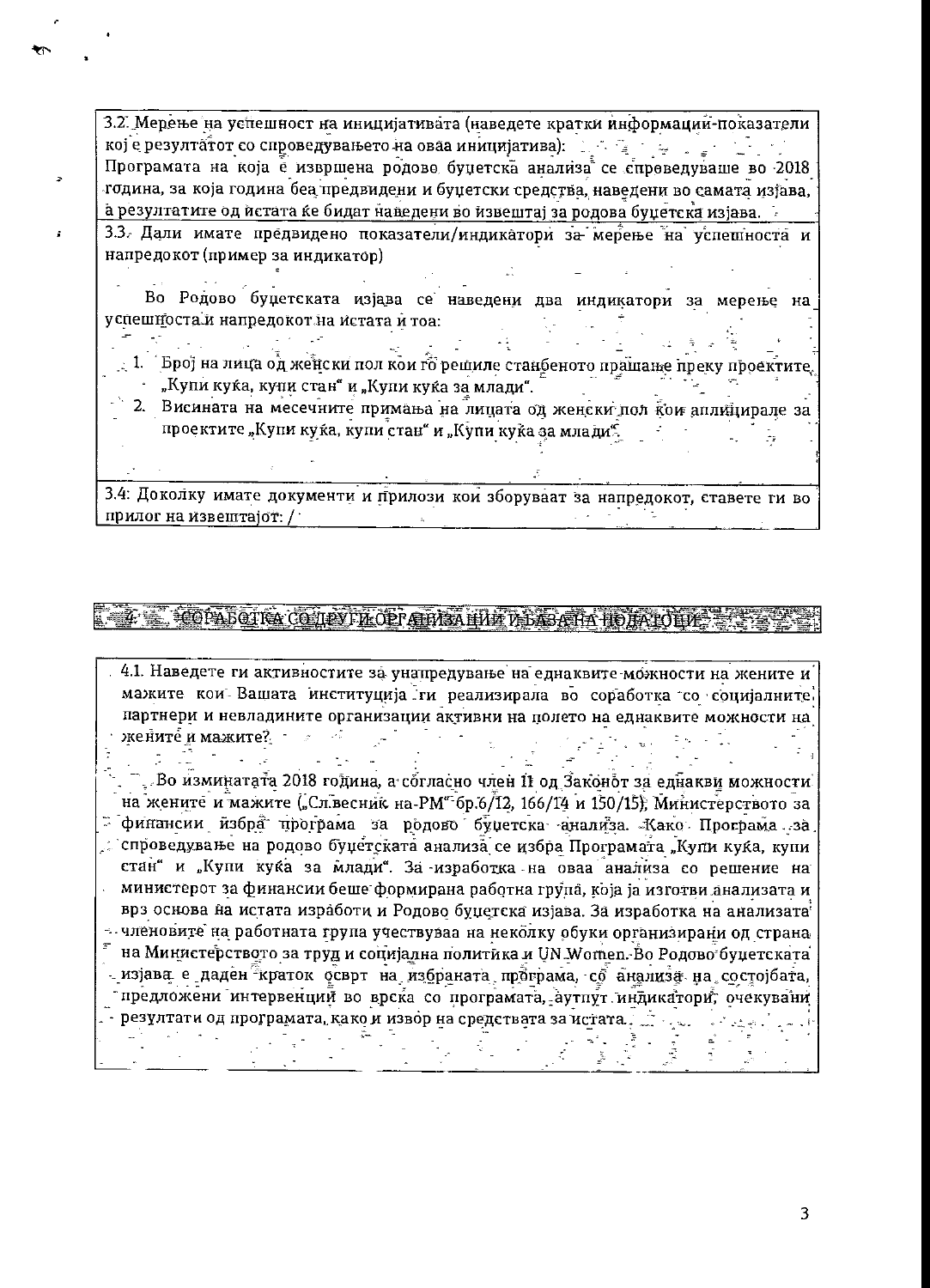3.2. Мерење на успешност на иницијативата (наведете кратки информации-показатели кој е резултатот со спроведувањето на оваа иницијатива): [16] [26] [26] [26] [26] Програмата на која е извршена родово буџетска анализа се спроведуваше во 2018 година, за која година беа предвидени и буџетски средства, наведени во самата изђава, а резултатите од истата ќе бидат наведени во извештај за родова буџетска изјава.

3.3. Дали имате предвидено показатели/индикатори за мерење на успешноста и напредокот (пример за индикатор)

ř.

الأيار

Во Родово буџетската изјава се наведени два индикатори за мерење на успешноста и напредокот на истата и тоа:

- $\pm$  1.  $\,$  Број на лица од женски пол кои го решиле станбеното прашање преку проектите. "Купи куќа, купи стан" и "Купи куќа за млади".
- 2. Висината на месечните примања на лицата од женски пол кои аплицирале за проектите "Купи куќа, купи стан" и "Купи куќа за млади".

3.4: Доколку имате документи и прилози кои зборуваат за напредокот, ставете ги во прилог на извештајот: /

# **SOATOR CONTROP AND HIM THE AT HOME SET**

4.1. Наведете ги активностите за унапредување на еднаквите можности на жените и мажите кои Вашата институција ги реализирала во соработка со социјалните. партнери и невладините организации активни на полето на еднаквите можности на жените и мажите? В составит

. Во изминатата 2018 година, а согласно член 11 од Законот за еднакви можности. на жените и мажите ("Сл.весник на РМ" бр.6/12, 166/14 и 150/15), Министерството за - финансии избра програма за родово буџетска анализа. Како Програма за े спроведување на родово буџетската анализа се избра Програмата "Купи куќа, купи стан" и "Купи куќа за млади". За изработка на оваа анализа со решение на министерот за финансии беше формирана работна група, која ја изготви анализата и врз основа на истата изработи и Родово буџетска изјава. За изработка на анализата - членовите на работната група учествуваа на неколку обуки организирани од страна  $^\pi$ на Министерството за труд и социјална политика и UN Women. Во Родово буџетската изјава е даден краток осврт на избраната програма, со анализа на состојбата, предложени интервенций во врска со програмата, аутпут индикатори, очекувани . - резултати од програмата, како и извор на средствата за истата.  $\tilde{\varphi}$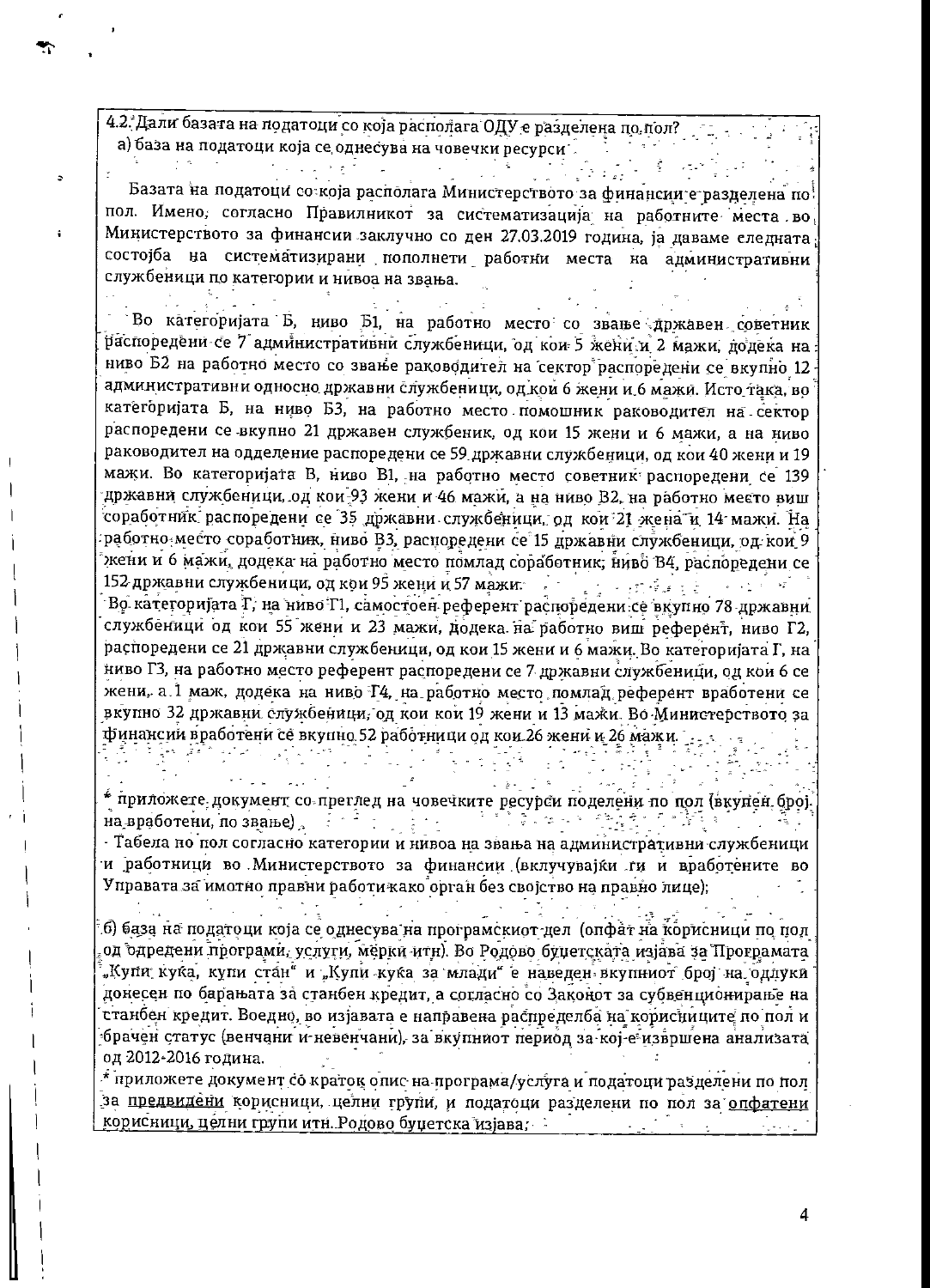4.2. Дали базата на податоци со која располага ОДУ е разделена по пол? а) база на податоци која се однесува на човечки ресурси

 $\mathcal{L} = \left\{ \begin{array}{ll} 0 & \text{if} \ \mathcal{L} = \mathcal{L} \end{array} \right.$ 

이 좋아. 우리가

医无头的 医骨下突

그는 동생 사람이 있어요.

 $\mathcal{L}_{\text{max}}$  , and  $\mathcal{L}_{\text{max}}$ 

÷

Базата на податоци со која располага Министерството за финансии е разделена по пол. Имено, согласно Правилникот за систематизација на работните места во Министерството за финансии заклучно со ден 27.03.2019 година, ја даваме следната состојба на систематизирани пополнети работни места на административни службеници по категории и нивоа на звања.

Во категоријата Б, ниво Б1, на работно место со звање државен советник распоредени се 7 административни службеници, од кои 5 жени и 2 мажи, додеќа на ниво Б2 на работно место со звање раководител на сектор распоредени се вкупно 12 административни односно државни службеници, од кои 6 жени и 6 мажи. Исто така, во категоријата Б, на ниво Б3, на работно место помошник раководител на сектор распоредени се вкупно 21 државен службеник, од кои 15 жени и 6 мажи, а на ниво раководител на одделение распоредени се 59 државни службеници, од кои 40 жени и 19 мажи. Во категоријата В, ниво В1, на работно место советник распоредени се 139 државни службеници, од кои 93 жени и 46 мажи, а на ниво В2, на работно место виш соработник распоредени се 35 државни службеници, од кои 21 жена и 14 мажи. На работно место соработник, ниво В3, распоредени се 15 државни службеници, од кои 9 жени и 6 мажи, додека на работно место помлад соработник, ниво В4, распоредени се 152 државни службеници, од кои 95 жени и 57 мажи. Прве председател во селото на селото на селото на селото на .<br>Во категоријата Т, на ниво Т1, самостоен референт распоредени се вкупно 78 државни службеници од кои 55 жени и 23 мажи, додека на работно виш референт, ниво Г2, распоредени се 21 државни службеници, од кои 15 жени и 6 мажи. Во категоријата Г, на ниво ГЗ, на работно место референт распоредени се 7 државни службеници, од кои 6 се жени, а 1 маж, додека на ниво Т4, на работно место помлад референт вработени се вкупно 32 државни службеници, од кои кои 19 жени и 13 мажи. Во Министерството за финансии вработени се вкупно 52 работници од кои 26 жени и 26 мажи. 

\* приложете документ со преглед на човечките ресурси поделени по пол (вкупен број-на вработени, по звање)

ကြီး (၂) နိုင်ငံ (၁) နောင်ရေး (၂) နိုင်<br>(၃) ကောင်ရေး (နောင်ရေး) ကောင်ရေး (၁) နောင်ရေး

 $\frac{1}{2}$  ,  $\frac{1}{2}$  ,  $\frac{1}{2}$ 

- Табела но пол согласно категории и нивоа на звања на административни службеници и работници во Министерството за финансии (вклучувајќи ги и вработените во Управата за имотно правни работи како орган без својство на правно лице);

 $\mathcal{L}_{\mathcal{A}}$ 

 $\frac{1}{2}$ 

б) база на податоци која се однесува на програмскиот дел (опфат на корисници по пол од одредени програми, услуги, мерки итн). Во Родово буџетската изјава за Програмата "Купи куќа, купи стан" и "Купи куќа за млади" е наведен вкупниот број на одлуки донесен по барањата за станбен кредит, а согласно со Законот за субвенционирање на станбен кредит. Воедно, во изјавата е направена распределба на корисниците по пол и брачен статус (венчани и невенчани), за вкупниот период за кој-е извршена анализата од 2012-2016 година.

 $^\star$  приложете документ со краток опис на програма/услуга и податоци разделени по пол за предвидени корисници, целни групи, и податоци разделени по пол за опфатени корисници, целни групи итн. Родово буџетска изјава;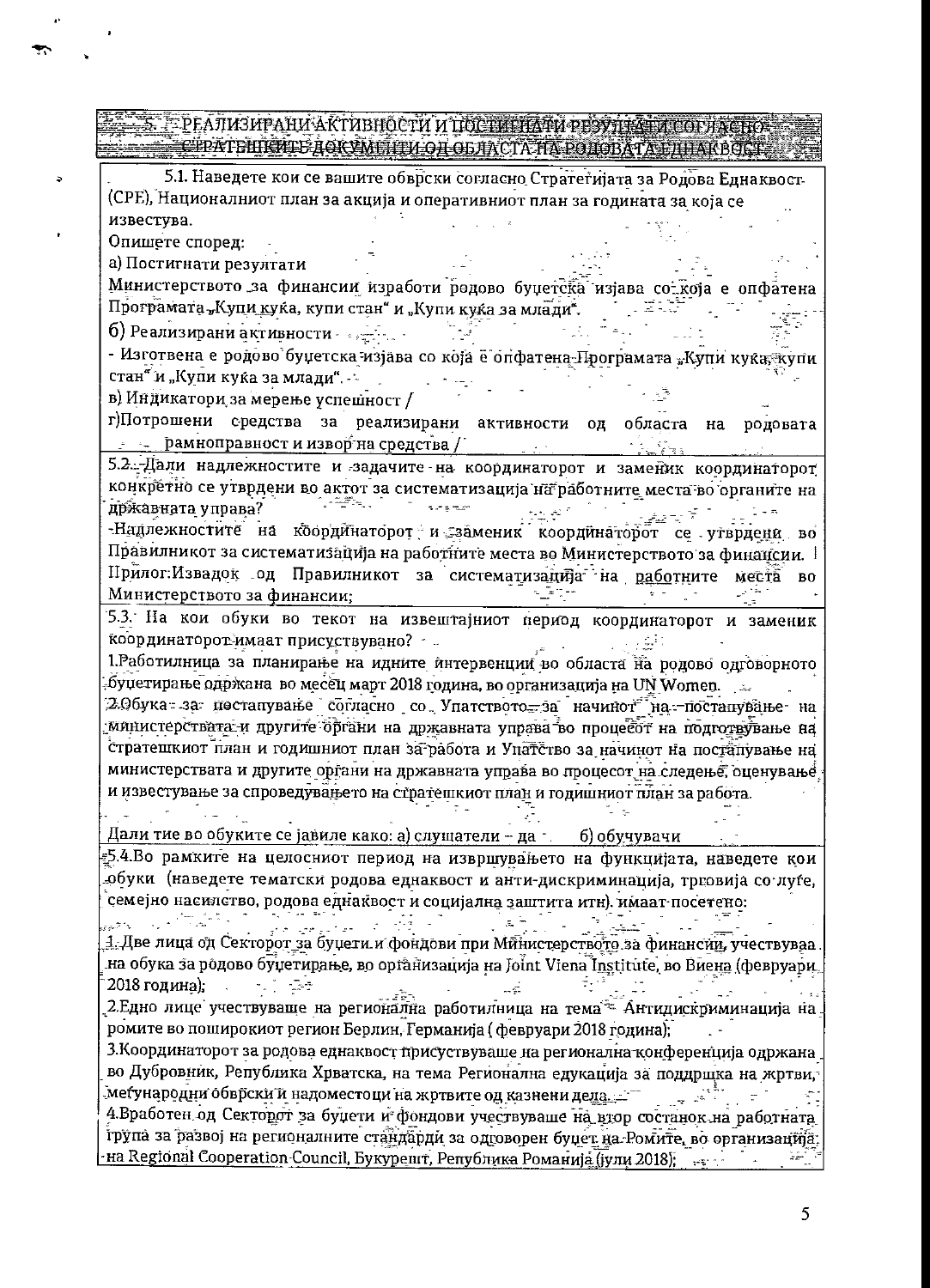### <u>ТРЕАЛИЗИРАНИ АКТИВНОСТИ И ПОСТИНИТИ РЕЗУДНАТИ СОГЛАСНИЯ</u> **RIGHT CEATEMPTE AGKYMTITU OF OLIMCIA HT POHOBATALIJHAKBOKT.**

5.1. Наведете кои се вашите обврски согласно Стратегијата за Родова Еднаквост-(СРЕ), Националниот план за акција и оперативниот план за годината за која се известува.

Опишете според:

а) Постигнати резултати

Министерството за финансии изработи родово буџетска изјава со која е опфатена Програмата "Купи куќа, купи стан" и "Купи куќа за млади".

б) Реализирани активности

 $\sim$ 

- Изготвена е родово буџетска изјава со која е опфатена-Програмата "Купи куќа јхупи стан" и "Купи куќа за млади".

в) Индикатори за мерење успешност /

г)Потрошени средства за реализирани активности од областа  $_{\rm Ha}$ родовата <u>. . . рамноправност и извор на средства / .</u>

5.2. Дали надлежностите и задачите на координаторот и заменик координаторот конкретно се утврдени во актот за систематизација на работните места во органите на државната управа? WHERE W surgitum i taler ್ಲುಟ್ಟಿಸ್ 7

-Надлежностите на координаторот и заменик координаторот се утврдени во Правилникот за систематизација на работните места во Министерството за финансии. Прилог:Извадок од Правилникот за систематизација на <u>рабо</u>тните места  $B<sub>0</sub>$ Министерството за финансии;

5.3. На кои обуки во текот на извештајниот период координаторот и заменик координаторот-имаат присуствувано? - ... وقفات ال

1. Работилница за планирање на идните интервенции во областа на родово одговорното буџетирање одржана во месец март 2018 година, во организација на UN Women.

Э.Обука за постапување согласно со Упатството за начинот на постапување на министерствата и другите органи на државната управа во процесот на подготвување на стратешкиот план и годишниот план за работа и Упатство за начинот на постапување на министерствата и другите органи на државната управа во процесот на следење, оценување и известување за спроведувањето на стратешкиот план и годишниот план за работа.

Дали тие во обуките се јавиле како: а) слушатели - да б) обучувачи

5.4.Во рамките на целосниот период на извршувањето на функцијата, наведете кои обуки (наведете тематски родова еднаквост и анти-дискриминација, трговија со луѓе, семејно насилство, родова еднаквост и социјална заштита итн). имаат посетено:  $\mathbb{R}^2$ ್ನು ಸಲ್ಲಿಸಿದ ಸ

 $\mathbb{R}^2$  and  $\mathbb{R}^2$ 1. Две лица од Секторот за буџети и фондови при Министерството за финансии, учествуваа на обука за родово буџетирање, во орга̂низација на Joint Viena Institute, во Виена (февруари, 2018 година); ು ಸಂಘೋ  $\mathbb{R}^2$ 

2. Едно лице учествуваще на регионална работилница на тема Антидискриминација на ромите во поширокиот регион Берлин, Германија (февруари 2018 година);

3. Координаторот за родова еднаквост присуствуваще на регионална конференција одржана во Дубровник, Република Хрватска, на тема Регионална едукација за поддршка на жртви, меѓународни обврски и надоместоци на жртвите од казнени деда. 4. Вработен од Секторот за буџети и фондови учествуваше на втор состанок на работната група за развој на регионалните стандарди за одговорен буџет на Ромите, во организација. -на Regional Cooperation-Council, Букурешт, Република Романија (јули 2018);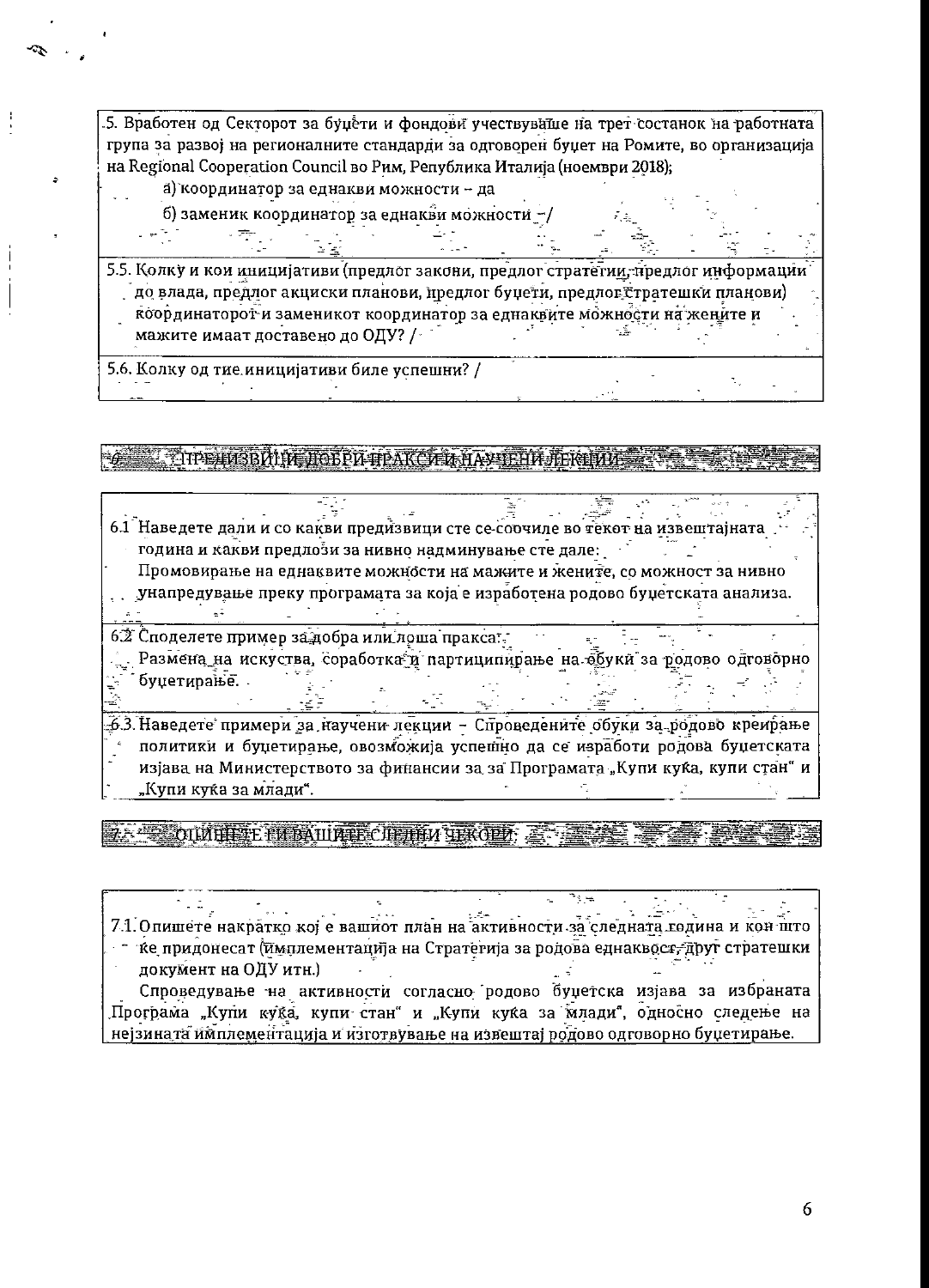5. Вработен од Секторот за буџети и фондови учествуваше на трет состанок на работната група за развој на регионалните стандарди за одговорен буџет на Ромите, во организација на Regional Cooperation Council во Рим, Република Италија (ноември 2018);

- а) координатор за еднакви можности да
- б) заменик координатор за еднакви можности -/

5.5. Колку и кои иницијативи (предлог закони, предлог стратегии, предлог информации до влада, предлог акциски планови, предлог буџети, предлог стратешки планови) координаторот и заменикот координатор за еднаквите можности на жените и мажите имаат доставено до ОДУ? /

5.6. Колку од тие иницијативи биле успешни? /

THE HOSBALD TO BE A HEAK OF LABURE THE REFALSE TO

6.1 Наведете дали и со какви предизвици сте се соочиле во текот на извештајната година и какви предлози за нивно надминување сте дале: Промовирање на еднаквите можности на мажите и жените, со можност за нивно унапредување преку програмата за која е изработена родово буџетската анализа.  $\pm 1$ 

62 Споделете пример за добра или лоша пракса. Размена на искуства, соработка и партиципирање на обуки за родово одговорно буџетирање..

5.3. Наведете примери за научени лекции - Спроведените обуки за родово креирање политики и буџетирање, овозможија успешно да се изработи родова буџетската изјава на Министерството за финансии за за Програмата "Купи куќа, купи стан" и "Купи куќа за млади".

28 CIUILISTE FLEATURESCULTIFIA TERCEDE

7.1. Опишете накратко кој е вашиот план на активности за следната година и кон што ке придонесат (имплементација на Стратегија за родова еднаквост, друг стратешки документ на ОДУ итн.) Спроведување на активности согласно родово буџетска изјава за избраната Програма "Купи куќа, купи стан" и "Купи куќа за млади", односно следење на нејзината имплементација и изготвување на извештај родово одговорно буџетирање.